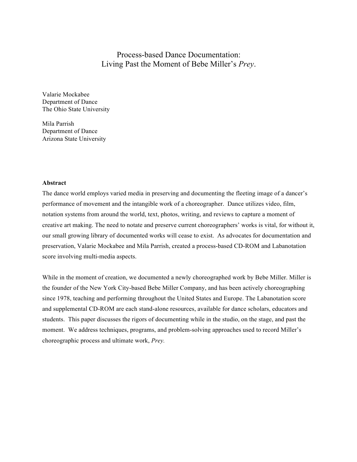# Process-based Dance Documentation: Living Past the Moment of Bebe Miller's *Prey*.

Valarie Mockabee Department of Dance The Ohio State University

Mila Parrish Department of Dance Arizona State University

#### **Abstract**

The dance world employs varied media in preserving and documenting the fleeting image of a dancer's performance of movement and the intangible work of a choreographer. Dance utilizes video, film, notation systems from around the world, text, photos, writing, and reviews to capture a moment of creative art making. The need to notate and preserve current choreographers' works is vital, for without it, our small growing library of documented works will cease to exist. As advocates for documentation and preservation, Valarie Mockabee and Mila Parrish, created a process-based CD-ROM and Labanotation score involving multi-media aspects.

While in the moment of creation, we documented a newly choreographed work by Bebe Miller. Miller is the founder of the New York City-based Bebe Miller Company, and has been actively choreographing since 1978, teaching and performing throughout the United States and Europe. The Labanotation score and supplemental CD-ROM are each stand-alone resources, available for dance scholars, educators and students. This paper discusses the rigors of documenting while in the studio, on the stage, and past the moment. We address techniques, programs, and problem-solving approaches used to record Miller's choreographic process and ultimate work, *Prey.*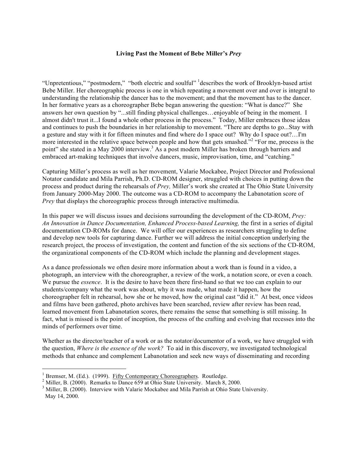## **Living Past the Moment of Bebe Miller's** *Prey*

"Unpretentious," "postmodern," "both electric and soulful" describes the work of Brooklyn-based artist Bebe Miller. Her choreographic process is one in which repeating a movement over and over is integral to understanding the relationship the dancer has to the movement; and that the movement has to the dancer. In her formative years as a choreographer Bebe began answering the question: "What is dance?" She answers her own question by "...still finding physical challenges…enjoyable of being in the moment. I almost didn't trust it...I found a whole other process in the process." Today, Miller embraces those ideas and continues to push the boundaries in her relationship to movement. "There are depths to go...Stay with a gesture and stay with it for fifteen minutes and find where do I space out? Why do I space out?…I'm more interested in the relative space between people and how that gets smashed."<sup>2</sup> "For me, process is the point" she stated in a May 2000 interview.<sup>3</sup> As a post modern Miller has broken through barriers and embraced art-making techniques that involve dancers, music, improvisation, time, and "catching."

Capturing Miller's process as well as her movement, Valarie Mockabee, Project Director and Professional Notator candidate and Mila Parrish, Ph.D. CD-ROM designer, struggled with choices in putting down the process and product during the rehearsals of *Prey,* Miller's work she created at The Ohio State University from January 2000-May 2000. The outcome was a CD-ROM to accompany the Labanotation score of *Prey* that displays the choreographic process through interactive multimedia.

In this paper we will discuss issues and decisions surrounding the development of the CD-ROM, *Prey: An Innovation in Dance Documentation, Enhanced Process-based Learning,* the first in a series of digital documentation CD-ROMs for dance. We will offer our experiences as researchers struggling to define and develop new tools for capturing dance. Further we will address the initial conception underlying the research project, the process of investigation, the content and function of the six sections of the CD-ROM, the organizational components of the CD-ROM which include the planning and development stages.

As a dance professionals we often desire more information about a work than is found in a video, a photograph, an interview with the choreographer, a review of the work, a notation score, or even a coach. We pursue the *essence*. It is the desire to have been there first-hand so that we too can explain to our students/company what the work was about, why it was made, what made it happen, how the choreographer felt in rehearsal, how she or he moved, how the original cast "did it." At best, once videos and films have been gathered, photo archives have been searched, review after review has been read, learned movement from Labanotation scores, there remains the sense that something is still missing. In fact, what is missed is the point of inception, the process of the crafting and evolving that recesses into the minds of performers over time.

Whether as the director/teacher of a work or as the notator/documentor of a work, we have struggled with the question, *Where is the essence of the work?* To aid in this discovery, we investigated technological methods that enhance and complement Labanotation and seek new ways of disseminating and recording

<sup>&</sup>lt;sup>1</sup> Bremser, M. (Ed.). (1999). <u>Fifty Contemporary Choreographers</u>. Routledge. <sup>2</sup> Miller, B. (2000). Remarks to Dance 659 at Ohio State University. March 8, 2000.

<sup>&</sup>lt;sup>3</sup> Miller, B. (2000). Interview with Valarie Mockabee and Mila Parrish at Ohio State University. May 14, 2000.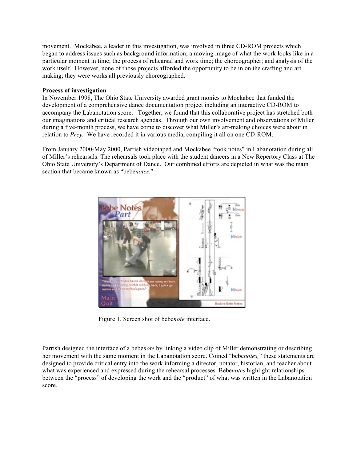movement. Mockabee, a leader in this investigation, was involved in three CD-ROM projects which began to address issues such as background information; a moving image of what the work looks like in a particular moment in time; the process of rehearsal and work time; the choreographer; and analysis of the work itself. However, none of those projects afforded the opportunity to be in on the crafting and art making; they were works all previously choreographed.

## **Process of investigation**

In November 1998, The Ohio State University awarded grant monies to Mockabee that funded the development of a comprehensive dance documentation project including an interactive CD-ROM to accompany the Labanotation score. Together, we found that this collaborative project has stretched both our imaginations and critical research agendas. Through our own involvement and observations of Miller during a five-month process, we have come to discover what Miller's art-making choices were about in relation to *Prey.* We have recorded it in various media, compiling it all on one CD-ROM.

From January 2000-May 2000, Parrish videotaped and Mockabee "took notes" in Labanotation during all of Miller's rehearsals. The rehearsals took place with the student dancers in a New Repertory Class at The Ohio State University's Department of Dance. Our combined efforts are depicted in what was the main section that became known as "bebe*notes.*"



Figure 1. Screen shot of bebe*note* interface.

Parrish designed the interface of a bebe*note* by linking a video clip of Miller demonstrating or describing her movement with the same moment in the Labanotation score. Coined "bebe*notes,*" these statements are designed to provide critical entry into the work informing a director, notator, historian, and teacher about what was experienced and expressed during the rehearsal processes. Bebe*notes* highlight relationships between the "process" of developing the work and the "product" of what was written in the Labanotation score.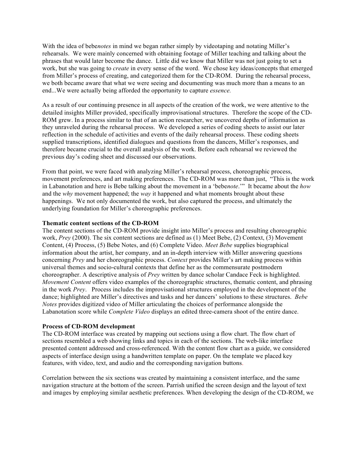With the idea of bebe*notes* in mind we began rather simply by videotaping and notating Miller's rehearsals. We were mainly concerned with obtaining footage of Miller teaching and talking about the phrases that would later become the dance. Little did we know that Miller was not just going to set a work, but she was going to *create* in every sense of the word. We chose key ideas/concepts that emerged from Miller's process of creating, and categorized them for the CD-ROM. During the rehearsal process, we both became aware that what we were seeing and documenting was much more than a means to an end...We were actually being afforded the opportunity to capture *essence.*

As a result of our continuing presence in all aspects of the creation of the work, we were attentive to the detailed insights Miller provided, specifically improvisational structures. Therefore the scope of the CD-ROM grew. In a process similar to that of an action researcher, we uncovered depths of information as they unraveled during the rehearsal process. We developed a series of coding sheets to assist our later reflection in the schedule of activities and events of the daily rehearsal process. These coding sheets supplied transcriptions, identified dialogues and questions from the dancers, Miller's responses, and therefore became crucial to the overall analysis of the work. Before each rehearsal we reviewed the previous day's coding sheet and discussed our observations.

From that point, we were faced with analyzing Miller's rehearsal process, choreographic process, movement preferences, and art making preferences. The CD-ROM was more than just, "This is the work in Labanotation and here is Bebe talking about the movement in a 'bebe*note*.'" It became about the *how* and the *why* movement happened; the *way* it happened and what moments brought about these happenings. We not only documented the work, but also captured the process, and ultimately the underlying foundation for Miller's choreographic preferences.

### **Thematic content sections of the CD-ROM**

The content sections of the CD-ROM provide insight into Miller's process and resulting choreographic work, *Prey* (2000). The six content sections are defined as (1) Meet Bebe, (2) Context, (3) Movement Content, (4) Process, (5) Bebe Notes, and (6) Complete Video. *Meet Bebe* supplies biographical information about the artist, her company, and an in-depth interview with Miller answering questions concerning *Prey* and her choreographic process. *Context* provides Miller's art making process within universal themes and socio-cultural contexts that define her as the commensurate postmodern choreographer. A descriptive analysis of *Prey* written by dance scholar Candace Feck is highlighted. *Movement Content* offers video examples of the choreographic structures, thematic content, and phrasing in the work *Prey*. Process includes the improvisational structures employed in the development of the dance; highlighted are Miller's directives and tasks and her dancers' solutions to these structures. *Bebe Notes* provides digitized video of Miller articulating the choices of performance alongside the Labanotation score while *Complete Video* displays an edited three-camera shoot of the entire dance.

### **Process of CD-ROM development**

The CD-ROM interface was created by mapping out sections using a flow chart. The flow chart of sections resembled a web showing links and topics in each of the sections. The web-like interface presented content addressed and cross-referenced. With the content flow chart as a guide, we considered aspects of interface design using a handwritten template on paper. On the template we placed key features, with video, text, and audio and the corresponding navigation buttons.

Correlation between the six sections was created by maintaining a consistent interface, and the same navigation structure at the bottom of the screen. Parrish unified the screen design and the layout of text and images by employing similar aesthetic preferences. When developing the design of the CD-ROM, we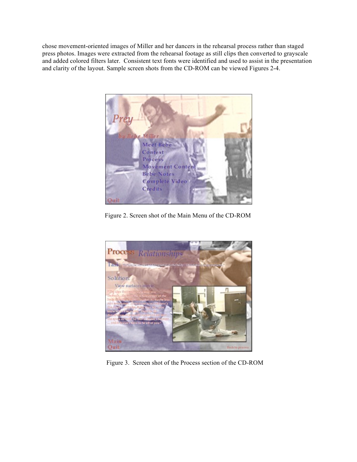chose movement-oriented images of Miller and her dancers in the rehearsal process rather than staged press photos. Images were extracted from the rehearsal footage as still clips then converted to grayscale and added colored filters later. Consistent text fonts were identified and used to assist in the presentation and clarity of the layout. Sample screen shots from the CD-ROM can be viewed Figures 2-4.



Figure 2. Screen shot of the Main Menu of the CD-ROM



Figure 3. Screen shot of the Process section of the CD-ROM